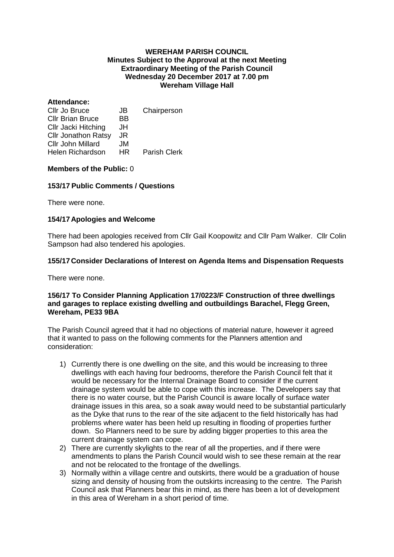#### **WEREHAM PARISH COUNCIL Minutes Subject to the Approval at the next Meeting Extraordinary Meeting of the Parish Council Wednesday 20 December 2017 at 7.00 pm Wereham Village Hall**

#### **Attendance:**

| Cllr Jo Bruce              | JB  | Chairperson         |
|----------------------------|-----|---------------------|
| <b>Cllr Brian Bruce</b>    | ВB  |                     |
| Cllr Jacki Hitching        | JH  |                     |
| <b>Cllr Jonathon Ratsy</b> | JR  |                     |
| Cllr John Millard          | JM. |                     |
| <b>Helen Richardson</b>    | HR. | <b>Parish Clerk</b> |

### **Members of the Public:** 0

## **153/17 Public Comments / Questions**

There were none.

## **154/17 Apologies and Welcome**

There had been apologies received from Cllr Gail Koopowitz and Cllr Pam Walker. Cllr Colin Sampson had also tendered his apologies.

## **155/17 Consider Declarations of Interest on Agenda Items and Dispensation Requests**

There were none.

#### **156/17 To Consider Planning Application 17/0223/F Construction of three dwellings and garages to replace existing dwelling and outbuildings Barachel, Flegg Green, Wereham, PE33 9BA**

The Parish Council agreed that it had no objections of material nature, however it agreed that it wanted to pass on the following comments for the Planners attention and consideration:

- 1) Currently there is one dwelling on the site, and this would be increasing to three dwellings with each having four bedrooms, therefore the Parish Council felt that it would be necessary for the Internal Drainage Board to consider if the current drainage system would be able to cope with this increase. The Developers say that there is no water course, but the Parish Council is aware locally of surface water drainage issues in this area, so a soak away would need to be substantial particularly as the Dyke that runs to the rear of the site adjacent to the field historically has had problems where water has been held up resulting in flooding of properties further down. So Planners need to be sure by adding bigger properties to this area the current drainage system can cope.
- 2) There are currently skylights to the rear of all the properties, and if there were amendments to plans the Parish Council would wish to see these remain at the rear and not be relocated to the frontage of the dwellings.
- 3) Normally within a village centre and outskirts, there would be a graduation of house sizing and density of housing from the outskirts increasing to the centre. The Parish Council ask that Planners bear this in mind, as there has been a lot of development in this area of Wereham in a short period of time.